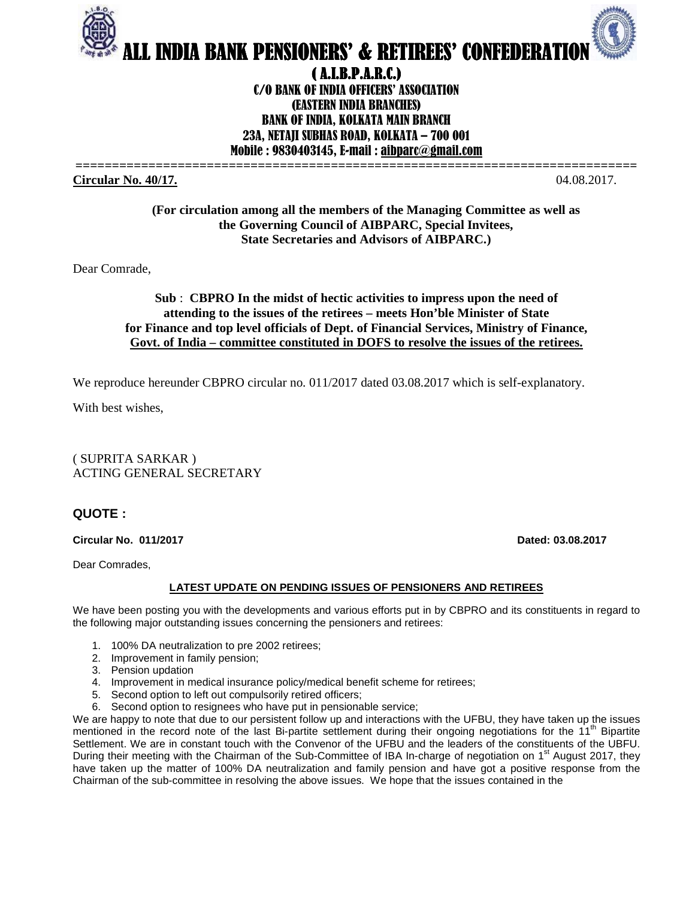

# ( A.I.B.P.A.R.C.) C/O BANK OF INDIA OFFICERS' ASSOCIATION (EASTERN INDIA BRANCHES) BANK OF INDIA, KOLKATA MAIN BRANCH 23A, NETAJI SUBHAS ROAD, KOLKATA – 700 001 Mobile : 9830403145, E-mail : aibparc@gmail.com

**============================================================================= Circular No. 40/17.** 04.08.2017.

**(For circulation among all the members of the Managing Committee as well as the Governing Council of AIBPARC, Special Invitees, State Secretaries and Advisors of AIBPARC.)** 

Dear Comrade,

## **Sub** : **CBPRO In the midst of hectic activities to impress upon the need of attending to the issues of the retirees – meets Hon'ble Minister of State for Finance and top level officials of Dept. of Financial Services, Ministry of Finance, Govt. of India – committee constituted in DOFS to resolve the issues of the retirees.**

We reproduce hereunder CBPRO circular no. 011/2017 dated 03.08.2017 which is self-explanatory.

With best wishes,

( SUPRITA SARKAR ) ACTING GENERAL SECRETARY

## **QUOTE :**

### **Circular No. 011/2017 Dated: 03.08.2017**

Dear Comrades,

### **LATEST UPDATE ON PENDING ISSUES OF PENSIONERS AND RETIREES**

We have been posting you with the developments and various efforts put in by CBPRO and its constituents in regard to the following major outstanding issues concerning the pensioners and retirees:

- 1. 100% DA neutralization to pre 2002 retirees;
- 2. Improvement in family pension;
- 3. Pension updation
- 4. Improvement in medical insurance policy/medical benefit scheme for retirees;
- 5. Second option to left out compulsorily retired officers;
- 6. Second option to resignees who have put in pensionable service;

We are happy to note that due to our persistent follow up and interactions with the UFBU, they have taken up the issues mentioned in the record note of the last Bi-partite settlement during their ongoing negotiations for the  $11<sup>th</sup>$  Bipartite Settlement. We are in constant touch with the Convenor of the UFBU and the leaders of the constituents of the UBFU. During their meeting with the Chairman of the Sub-Committee of IBA In-charge of negotiation on 1<sup>st</sup> August 2017, they have taken up the matter of 100% DA neutralization and family pension and have got a positive response from the Chairman of the sub-committee in resolving the above issues. We hope that the issues contained in the